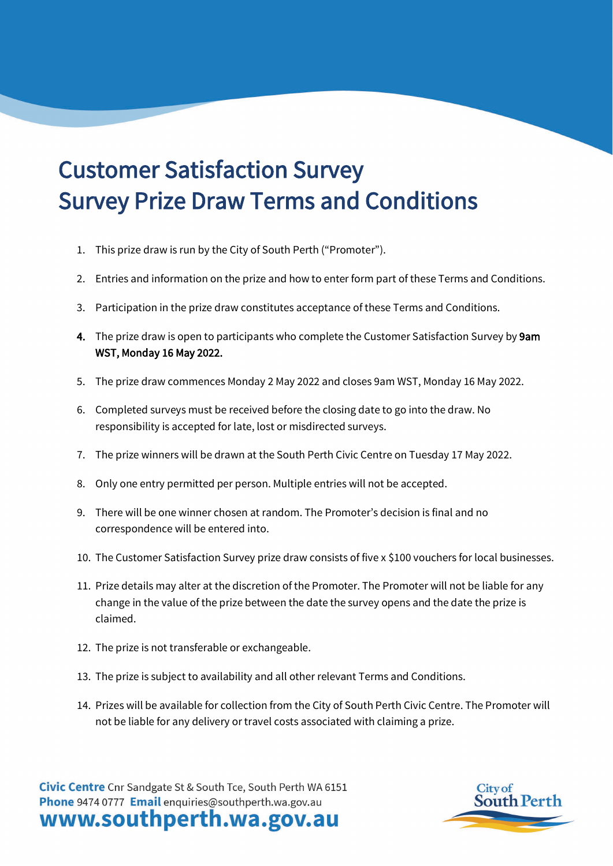## Customer Satisfaction Survey Survey Prize Draw Terms and Conditions

- 1. This prize draw is run by the City of South Perth ("Promoter").
- 2. Entries and information on the prize and how to enter form part of these Terms and Conditions.
- 3. Participation in the prize draw constitutes acceptance of these Terms and Conditions.
- 4. The prize draw is open to participants who complete the Customer Satisfaction Survey by 9am WST, Monday 16 May 2022.
- 5. The prize draw commences Monday 2 May 2022 and closes 9am WST, Monday 16 May 2022.
- 6. Completed surveys must be received before the closing date to go into the draw. No responsibility is accepted for late, lost or misdirected surveys.
- 7. The prize winners will be drawn at the South Perth Civic Centre on Tuesday 17 May 2022.
- 8. Only one entry permitted per person. Multiple entries will not be accepted.
- 9. There will be one winner chosen at random. The Promoter's decision is final and no correspondence will be entered into.
- 10. The Customer Satisfaction Survey prize draw consists of five x \$100 vouchers for local businesses.
- 11. Prize details may alter at the discretion of the Promoter. The Promoter will not be liable for any change in the value of the prize between the date the survey opens and the date the prize is claimed.
- 12. The prize is not transferable or exchangeable.
- 13. The prize is subject to availability and all other relevant Terms and Conditions.
- 14. Prizes will be available for collection from the City of South Perth Civic Centre. The Promoter will not be liable for any delivery or travel costs associated with claiming a prize.

Civic Centre Cnr Sandgate St & South Tce, South Perth WA 6151 Phone 9474 0777 Email enquiries@southperth.wa.gov.au www.southperth.wa.gov.au